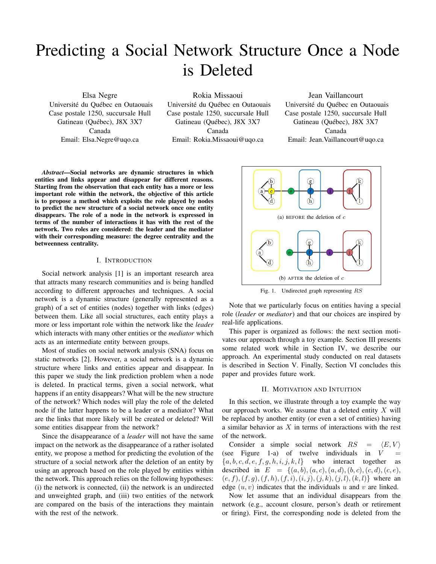# Predicting a Social Network Structure Once a Node is Deleted

Elsa Negre Université du Québec en Outaouais Case postale 1250, succursale Hull Gatineau (Québec), J8X 3X7 Canada Email: Elsa.Negre@uqo.ca

Rokia Missaoui Université du Québec en Outaouais Case postale 1250, succursale Hull Gatineau (Québec), J8X 3X7 Canada Email: Rokia.Missaoui@uqo.ca

Jean Vaillancourt Université du Québec en Outaouais Case postale 1250, succursale Hull Gatineau (Québec), J8X 3X7 Canada Email: Jean.Vaillancourt@uqo.ca

*Abstract*—Social networks are dynamic structures in which entities and links appear and disappear for different reasons. Starting from the observation that each entity has a more or less important role within the network, the objective of this article is to propose a method which exploits the role played by nodes to predict the new structure of a social network once one entity disappears. The role of a node in the network is expressed in terms of the number of interactions it has with the rest of the network. Two roles are considered: the leader and the mediator with their corresponding measure: the degree centrality and the betweenness centrality.

## I. INTRODUCTION

Social network analysis [1] is an important research area that attracts many research communities and is being handled according to different approaches and techniques. A social network is a dynamic structure (generally represented as a graph) of a set of entities (nodes) together with links (edges) between them. Like all social structures, each entity plays a more or less important role within the network like the *leader* which interacts with many other entities or the *mediator* which acts as an intermediate entity between groups.

Most of studies on social network analysis (SNA) focus on static networks [2]. However, a social network is a dynamic structure where links and entities appear and disappear. In this paper we study the link prediction problem when a node is deleted. In practical terms, given a social network, what happens if an entity disappears? What will be the new structure of the network? Which nodes will play the role of the deleted node if the latter happens to be a leader or a mediator? What are the links that more likely will be created or deleted? Will some entities disappear from the network?

Since the disappearance of a *leader* will not have the same impact on the network as the disappearance of a rather isolated entity, we propose a method for predicting the evolution of the structure of a social network after the deletion of an entity by using an approach based on the role played by entities within the network. This approach relies on the following hypotheses: (i) the network is connected, (ii) the network is an undirected and unweighted graph, and (iii) two entities of the network are compared on the basis of the interactions they maintain with the rest of the network.



Fig. 1. Undirected graph representing RS

Note that we particularly focus on entities having a special role (*leader* or *mediator*) and that our choices are inspired by real-life applications.

This paper is organized as follows: the next section motivates our approach through a toy example. Section III presents some related work while in Section IV, we describe our approach. An experimental study conducted on real datasets is described in Section V. Finally, Section VI concludes this paper and provides future work.

# II. MOTIVATION AND INTUITION

In this section, we illustrate through a toy example the way our approach works. We assume that a deleted entity  $X$  will be replaced by another entity (or even a set of entities) having a similar behavior as  $X$  in terms of interactions with the rest of the network.

Consider a simple social network  $RS = \langle E, V \rangle$ (see Figure 1-a) of twelve individuals in  $V =$  ${a, b, c, d, e, f, g, h, i, j, k, l}$  who interact together as described in  $E = \{(a, b), (a, c), (a, d), (b, c), (c, d), (c, e),\}$  $(e, f), (f, g), (f, h), (f, i), (i, j), (j, k), (j, l), (k, l) \}$  where an edge  $(u, v)$  indicates that the individuals u and v are linked.

Now let assume that an individual disappears from the network (e.g., account closure, person's death or retirement or firing). First, the corresponding node is deleted from the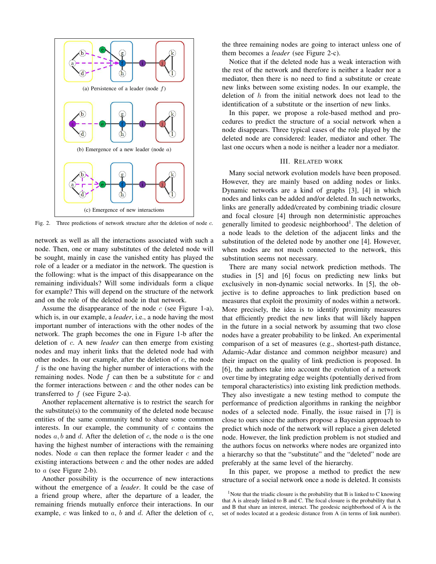

Fig. 2. Three predictions of network structure after the deletion of node c.

network as well as all the interactions associated with such a node. Then, one or many substitutes of the deleted node will be sought, mainly in case the vanished entity has played the role of a leader or a mediator in the network. The question is the following: what is the impact of this disappearance on the remaining individuals? Will some individuals form a clique for example? This will depend on the structure of the network and on the role of the deleted node in that network.

Assume the disappearance of the node  $c$  (see Figure 1-a), which is, in our example, a *leader*, i.e., a node having the most important number of interactions with the other nodes of the network. The graph becomes the one in Figure 1-b after the deletion of c. A new *leader* can then emerge from existing nodes and may inherit links that the deleted node had with other nodes. In our example, after the deletion of  $c$ , the node  $f$  is the one having the higher number of interactions with the remaining nodes. Node  $f$  can then be a substitute for  $c$  and the former interactions between  $c$  and the other nodes can be transferred to  $f$  (see Figure 2-a).

Another replacement alternative is to restrict the search for the substitute(s) to the community of the deleted node because entities of the same community tend to share some common interests. In our example, the community of  $c$  contains the nodes  $a, b$  and  $d$ . After the deletion of  $c$ , the node  $a$  is the one having the highest number of interactions with the remaining nodes. Node  $a$  can then replace the former leader  $c$  and the existing interactions between  $c$  and the other nodes are added to  $a$  (see Figure 2-b).

Another possibility is the occurrence of new interactions without the emergence of a *leader*. It could be the case of a friend group where, after the departure of a leader, the remaining friends mutually enforce their interactions. In our example,  $c$  was linked to  $a$ ,  $b$  and  $d$ . After the deletion of  $c$ ,

the three remaining nodes are going to interact unless one of them becomes a *leader* (see Figure 2-c).

Notice that if the deleted node has a weak interaction with the rest of the network and therefore is neither a leader nor a mediator, then there is no need to find a substitute or create new links between some existing nodes. In our example, the deletion of h from the initial network does not lead to the identification of a substitute or the insertion of new links.

In this paper, we propose a role-based method and procedures to predict the structure of a social network when a node disappears. Three typical cases of the role played by the deleted node are considered: leader, mediator and other. The last one occurs when a node is neither a leader nor a mediator.

# III. RELATED WORK

Many social network evolution models have been proposed. However, they are mainly based on adding nodes or links. Dynamic networks are a kind of graphs [3], [4] in which nodes and links can be added and/or deleted. In such networks, links are generally added/created by combining triadic closure and focal closure [4] through non deterministic approaches generally limited to geodesic neighborhood<sup>1</sup>. The deletion of a node leads to the deletion of the adjacent links and the substitution of the deleted node by another one [4]. However, when nodes are not much connected to the network, this substitution seems not necessary.

There are many social network prediction methods. The studies in [5] and [6] focus on predicting new links but exclusively in non-dynamic social networks. In [5], the objective is to define approaches to link prediction based on measures that exploit the proximity of nodes within a network. More precisely, the idea is to identify proximity measures that efficiently predict the new links that will likely happen in the future in a social network by assuming that two close nodes have a greater probability to be linked. An experimental comparison of a set of measures (e.g., shortest-path distance, Adamic-Adar distance and common neighbor measure) and their impact on the quality of link prediction is proposed. In [6], the authors take into account the evolution of a network over time by integrating edge weights (potentially derived from temporal characteristics) into existing link prediction methods. They also investigate a new testing method to compute the performance of prediction algorithms in ranking the neighbor nodes of a selected node. Finally, the issue raised in [7] is close to ours since the authors propose a Bayesian approach to predict which node of the network will replace a given deleted node. However, the link prediction problem is not studied and the authors focus on networks where nodes are organized into a hierarchy so that the "substitute" and the "deleted" node are preferably at the same level of the hierarchy.

In this paper, we propose a method to predict the new structure of a social network once a node is deleted. It consists

<sup>&</sup>lt;sup>1</sup>Note that the triadic closure is the probability that B is linked to C knowing that A is already linked to B and C. The focal closure is the probability that A and B that share an interest, interact. The geodesic neighborhood of A is the set of nodes located at a geodesic distance from A (in terms of link number).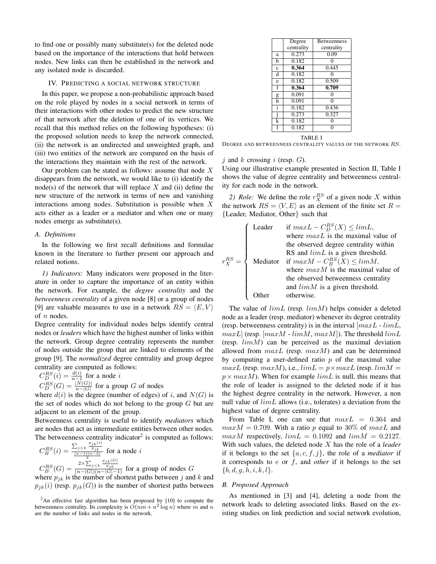to find one or possibly many substitute(s) for the deleted node based on the importance of the interactions that hold between nodes. New links can then be established in the network and any isolated node is discarded.

# IV. PREDICTING A SOCIAL NETWORK STRUCTURE

In this paper, we propose a non-probabilistic approach based on the role played by nodes in a social network in terms of their interactions with other nodes to predict the new structure of that network after the deletion of one of its vertices. We recall that this method relies on the following hypotheses: (i) the proposed solution needs to keep the network connected, (ii) the network is an undirected and unweighted graph, and (iii) two entities of the network are compared on the basis of the interactions they maintain with the rest of the network.

Our problem can be stated as follows: assume that node  $X$ disappears from the network, we would like to (i) identify the node(s) of the network that will replace  $X$  and (ii) define the new structure of the network in terms of new and vanishing interactions among nodes. Substitution is possible when X acts either as a leader or a mediator and when one or many nodes emerge as substitute(s).

## *A. Definitions*

In the following we first recall definitions and formulae known in the literature to further present our approach and related notions.

*1) Indicators:* Many indicators were proposed in the literature in order to capture the importance of an entity within the network. For example, the *degree centrality* and the *betweenness centrality* of a given node [8] or a group of nodes [9] are valuable measures to use in a network  $RS = \langle E, V \rangle$ of n nodes.

Degree centrality for individual nodes helps identify central nodes or *leaders* which have the highest number of links within the network. Group degree centrality represents the number of nodes outside the group that are linked to elements of the group [9]. The *normalized* degree centrality and group degree centrality are computed as follows:

 $C_{D}^{RS}(i) = \frac{d(i)}{n-1}$  for a node i

 $C_{D}^{RS}(G) = \frac{|N(G)|}{n-|G|}$  for a group G of nodes

where  $d(i)$  is the degree (number of edges) of i, and  $N(G)$  is the set of nodes which do not belong to the group  $G$  but are adjacent to an element of the group.

Betweenness centrality is useful to identify *mediators* which are nodes that act as intermediate entities between other nodes. The betweenness centrality indicator<sup>2</sup> is computed as follows:

$$
C_{B}^{RS}(i) = \frac{\sum_{j < k} \frac{p_{jk}(i)}{p_{jk}}}{\frac{(n-1)(n-2)}{2}} \text{ for a node } i
$$
\n
$$
C_{B}^{RS}(C) = \frac{2 \times \sum_{j < k} \frac{p_{jk}(G)}{p_{jk}}}{\sum_{j < k} \frac{p_{jk}(G)}{p_{jk}}} \quad \text{for a group}
$$

 $C_B^{RS}(G) = \frac{P \wedge \sum_{j \leq k} \overline{P_{jk}}}{(n-|G|)(n-|G|-1)}$  for a group of nodes G where  $p_{jk}$  is the number of shortest paths between j and k and  $p_{ik}(i)$  (resp.  $p_{jk}(G)$ ) is the number of shortest paths between

|             | Degree     | <b>Betweenness</b> |
|-------------|------------|--------------------|
|             | centrality | centrality         |
| a           | 0.273      | 0.09               |
| b           | 0.182      |                    |
| $\mathbf c$ | 0.364      | 0.445              |
| d           | 0.182      | O                  |
| e           | 0.182      | 0.509              |
| f           | 0.364      | 0.709              |
| g           | 0.091      | O                  |
| h           | 0.091      | 0                  |
| i           | 0.182      | 0.436              |
| j           | 0.273      | 0.327              |
| k           | 0.182      | 0                  |
| 1           | 0.182      | O                  |
|             |            |                    |

TABLE I DEGREE AND BETWEENNESS CENTRALITY VALUES OF THE NETWORK RS.

# $j$  and  $k$  crossing  $i$  (resp.  $G$ ).

Using our illustrative example presented in Section II, Table I shows the value of degree centrality and betweenness centrality for each node in the network.

2) *Role:* We define the role  $r_X^{RS}$  of a given node X within the network  $RS = \langle V, E \rangle$  as an element of the finite set  $R =$ {Leader, Mediator, Other} such that

$$
r_X^{RS} = \begin{cases} \text{Leader} & \text{if } maxL - C_D^{RS}(X) \leq \lim L, \\ & \text{where } maxL \text{ is the maximal value of} \\ & \text{the observed degree centrality within} \\ \text{RS and } \lim L \text{ is a given threshold.} \\ & \text{Median if } maxM - C_B^{RS}(X) \leq \lim M, \\ & \text{where } maxM \text{ is the maximal value of} \\ & \text{the observed betweenness centrality} \\ & \text{and } \lim M \text{ is a given threshold.} \end{cases}
$$

The value of  $limL$  (resp.  $limM$ ) helps consider a deleted node as a leader (resp. mediator) whenever its degree centrality (resp. betweenness centrality) is in the interval  $\left[ maxL - \lim L \right]$ ,  $maxL$  (resp.  $(maxM - limM, maxM)$ ). The threshold  $limL$ (resp.  $limM$ ) can be perceived as the maximal deviation allowed from  $maxL$  (resp.  $maxM$ ) and can be determined by computing a user-defined ratio  $p$  of the maximal value  $maxL$  (resp.  $maxM$ ), i.e.,  $limL = p \times maxL$  (resp.  $limM =$  $p \times maxM$ ). When for example  $limL$  is null, this means that the role of leader is assigned to the deleted node if it has the highest degree centrality in the network. However, a non null value of  $limL$  allows (i.e., tolerates) a deviation from the highest value of degree centrality.

From Table I, one can see that  $maxL = 0.364$  and  $maxM = 0.709$ . With a ratio p equal to 30% of maxL and  $maxM$  respectively,  $limL = 0.1092$  and  $limM = 0.2127$ . With such values, the deleted node X has the role of a *leader* if it belongs to the set  $\{a, c, f, j\}$ , the role of a *mediator* if it corresponds to  $e$  or  $f$ , and *other* if it belongs to the set  $\{b, d, g, h, i, k, l\}.$ 

# *B. Proposed Approach*

As mentioned in [3] and [4], deleting a node from the network leads to deleting associated links. Based on the existing studies on link prediction and social network evolution,

<sup>&</sup>lt;sup>2</sup>An effective fast algorithm has been proposed by [10] to compute the betweenness centrality. Its complexity is  $\tilde{O}(nm + n^2 \log n)$  where m and n are the number of links and nodes in the network.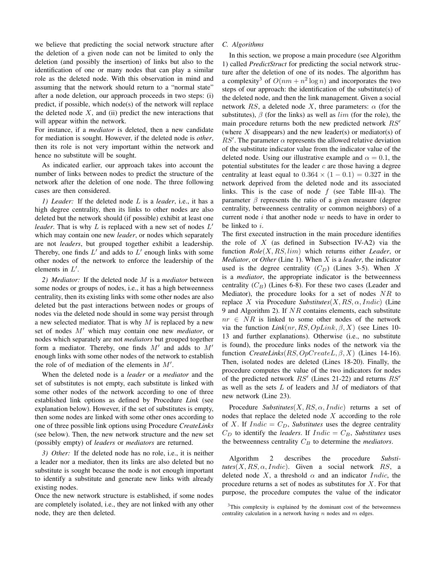we believe that predicting the social network structure after the deletion of a given node can not be limited to only the deletion (and possibly the insertion) of links but also to the identification of one or many nodes that can play a similar role as the deleted node. With this observation in mind and assuming that the network should return to a "normal state" after a node deletion, our approach proceeds in two steps: (i) predict, if possible, which node(s) of the network will replace the deleted node  $X$ , and (ii) predict the new interactions that will appear within the network.

For instance, if a *mediator* is deleted, then a new candidate for mediation is sought. However, if the deleted node is *other*, then its role is not very important within the network and hence no substitute will be sought.

As indicated earlier, our approach takes into account the number of links between nodes to predict the structure of the network after the deletion of one node. The three following cases are then considered.

*1) Leader:* If the deleted node L is a *leader*, i.e., it has a high degree centrality, then its links to other nodes are also deleted but the network should (if possible) exhibit at least one *leader*. That is why  $L$  is replaced with a new set of nodes  $L'$ which may contain one new *leader*, or nodes which separately are not *leaders*, but grouped together exhibit a leadership. Thereby, one finds  $L'$  and adds to  $L'$  enough links with some other nodes of the network to enforce the leadership of the elements in  $L'$ .

*2) Mediator:* If the deleted node M is a *mediator* between some nodes or groups of nodes, i.e., it has a high betweenness centrality, then its existing links with some other nodes are also deleted but the past interactions between nodes or groups of nodes via the deleted node should in some way persist through a new selected mediator. That is why  $M$  is replaced by a new set of nodes M' which may contain one new *mediator*, or nodes which separately are not *mediators* but grouped together form a mediator. Thereby, one finds  $M'$  and adds to  $M'$ enough links with some other nodes of the network to establish the role of of mediation of the elements in  $M'$ .

When the deleted node is a *leader* or a *mediator* and the set of substitutes is not empty, each substitute is linked with some other nodes of the network according to one of three established link options as defined by Procedure *Link* (see explanation below). However, if the set of substitutes is empty, then some nodes are linked with some other ones according to one of three possible link options using Procedure *CreateLinks* (see below). Then, the new network structure and the new set (possibly empty) of *leaders* or *mediators* are returned.

*3) Other:* If the deleted node has no role, i.e., it is neither a leader nor a mediator, then its links are also deleted but no substitute is sought because the node is not enough important to identify a substitute and generate new links with already existing nodes.

Once the new network structure is established, if some nodes are completely isolated, i.e., they are not linked with any other node, they are then deleted.

# *C. Algorithms*

In this section, we propose a main procedure (see Algorithm 1) called *PredictStruct* for predicting the social network structure after the deletion of one of its nodes. The algorithm has a complexity<sup>3</sup> of  $O(nm + n^2 \log n)$  and incorporates the two steps of our approach: the identification of the substitute(s) of the deleted node, and then the link management. Given a social network RS, a deleted node X, three parameters:  $\alpha$  (for the substitutes),  $\beta$  (for the links) as well as *lim* (for the role), the main procedure returns both the new predicted network  $RS'$ (where  $X$  disappears) and the new leader(s) or mediator(s) of  $RS'$ . The parameter  $\alpha$  represents the allowed relative deviation of the substitute indicator value from the indicator value of the deleted node. Using our illustrative example and  $\alpha = 0.1$ , the potential substitutes for the leader  $c$  are those having a degree centrality at least equal to  $0.364 \times (1 - 0.1) = 0.327$  in the network deprived from the deleted node and its associated links. This is the case of node  $f$  (see Table III-a). The parameter  $\beta$  represents the ratio of a given measure (degree centrality, betweenness centrality or common neighbors) of a current node  $i$  that another node  $w$  needs to have in order to be linked to i.

The first executed instruction in the main procedure identifies the role of  $X$  (as defined in Subsection IV-A2) via the function *Role*(X, RS, lim) which returns either *Leader*, or *Mediator*, or *Other* (Line 1). When X is a *leader*, the indicator used is the degree centrality  $(C_D)$  (Lines 3-5). When X is a *mediator*, the appropriate indicator is the betweenness centrality  $(C_B)$  (Lines 6-8). For these two cases (Leader and Mediator), the procedure looks for a set of nodes  $NR$  to replace X via Procedure *Substitutes*(X, RS, α, Indic) (Line 9 and Algorithm 2). If  $NR$  contains elements, each substitute  $nr \in NR$  is linked to some other nodes of the network via the function  $Link(nr, RS, OpLink, \beta, X)$  (see Lines 10-13 and further explanations). Otherwise (i.e., no substitute is found), the procedure links nodes of the network via the function *CreateLinks*(RS, OpCreateL, β, X) (Lines 14-16). Then, isolated nodes are deleted (Lines 18-20). Finally, the procedure computes the value of the two indicators for nodes of the predicted network  $RS'$  (Lines 21-22) and returns  $RS'$ as well as the sets  $L$  of leaders and  $M$  of mediators of that new network (Line 23).

Procedure *Substitutes*(X, RS, α, Indic) returns a set of nodes that replace the deleted node X according to the role of X. If  $Indic = C_D$ , *Substitutes* uses the degree centrality  $C_D$  to identify the *leaders*. If  $Indic = C_B$ , *Substitutes* uses the betweenness centrality  $C_B$  to determine the *mediators*.

Algorithm 2 describes the procedure *Substi* $tutes(X, RS, \alpha, Indic)$ . Given a social network RS, a deleted node X, a threshold  $\alpha$  and an indicator *Indic*, the procedure returns a set of nodes as substitutes for  $X$ . For that purpose, the procedure computes the value of the indicator

<sup>&</sup>lt;sup>3</sup>This complexity is explained by the dominant cost of the betweenness centrality calculation in a network having  $n$  nodes and  $m$  edges.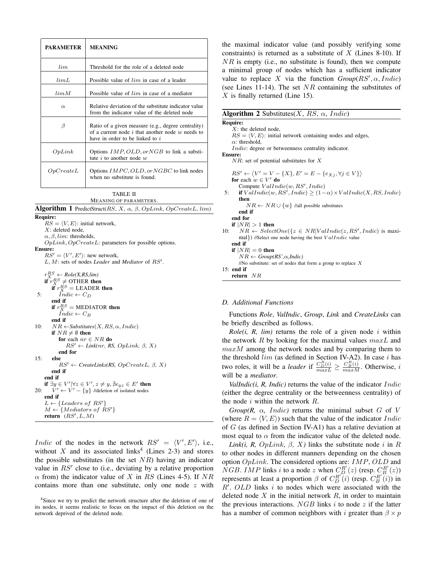| <b>PARAMETER</b> | <b>MEANING</b>                                                                                                                                  |
|------------------|-------------------------------------------------------------------------------------------------------------------------------------------------|
| lim              | Threshold for the role of a deleted node                                                                                                        |
| limL             | Possible value of <i>lim</i> in case of a leader                                                                                                |
| lim M            | Possible value of <i>lim</i> in case of a mediator                                                                                              |
| $\alpha$         | Relative deviation of the substitute indicator value<br>from the indicator value of the deleted node                                            |
| β                | Ratio of a given measure (e.g., degree centrality)<br>of a current node $i$ that another node $w$ needs to<br>have in order to be linked to $i$ |
| OpLink           | Options $IMP, OLD, or NGB$ to link a substi-<br>tute $i$ to another node $w$                                                                    |
| OpCreateL        | Options $IMPC,OLD, or NGBC$ to link nodes<br>when no substitute is found.                                                                       |

#### TABLE II MEANING OF PARAMETERS.

**Algorithm 1** PredictStruct(RS, X,  $\alpha$ ,  $\beta$ , OpLink, OpCreateL, lim)

# Require:

| $RS = \langle V, E \rangle$ : initial network,                                  |
|---------------------------------------------------------------------------------|
| $X$ : deleted node,                                                             |
| $\alpha$ , $\beta$ , $\lim$ : thresholds,                                       |
| $OpLink, OpCreateL$ : parameters for possible options.                          |
| <b>Ensure:</b>                                                                  |
| $RS' = \langle V', E' \rangle$ : new network,                                   |
| $L, M$ : sets of nodes Leader and Mediator of $RS'$ .                           |
|                                                                                 |
| $r_X^{RS} \leftarrow \text{Role}(X, RS, lim)$                                   |
| if $r_X^{RS} \neq$ OTHER then                                                   |
| if $r_X^{RS}$ = LEADER then                                                     |
| $Indic \leftarrow C_D$<br>5:                                                    |
| end if                                                                          |
| if $r_{\rm x}^{RS}$ = MEDIATOR then                                             |
| $Indic \leftarrow C_B$                                                          |
| end if                                                                          |
| $NR \leftarrow Substitutes(X, RS, \alpha, Indic)$<br>10:                        |
| if $NR \neq \emptyset$ then                                                     |
| for each $nr \in NR$ do                                                         |
| $RS' \leftarrow Link(nr, RS, OpLink, \beta, X)$                                 |
| end for                                                                         |
| 15:<br>else                                                                     |
| $RS' \leftarrow \text{CreateLinks}(RS, \text{OpCreateL}, \beta, X)$             |
| end if                                                                          |
| end if                                                                          |
| if $\exists y \in V'   \forall z \in V', z \neq y, \nexists e_{yz} \in E'$ then |
| 20:                                                                             |
| $V' \leftarrow V' - \{y\}$ //deletion of isolated nodes<br>end if               |
|                                                                                 |
| $L \leftarrow \{Leaders \ of \ RS'\}$                                           |
| $M \leftarrow \{Mediators \ of \ RS'\}$                                         |
| <b>return</b> $(RS', L, M)$                                                     |
|                                                                                 |

*Indic* of the nodes in the network  $RS' = \langle V', E' \rangle$ , i.e., without X and its associated links<sup>4</sup> (Lines 2-3) and stores the possible substitutes (in the set  $NR$ ) having an indicator value in  $RS'$  close to (i.e., deviating by a relative proportion  $\alpha$  from) the indicator value of X in RS (Lines 4-5). If NR contains more than one substitute, only one node z with the maximal indicator value (and possibly verifying some constraints) is returned as a substitute of  $X$  (Lines 8-10). If  $NR$  is empty (i.e., no substitute is found), then we compute a minimal group of nodes which has a sufficient indicator value to replace X via the function  $Group(RS', \alpha, Indic)$ (see Lines 11-14). The set  $NR$  containing the substitutes of  $X$  is finally returned (Line 15).

| <b>Algorithm 2</b> Substitutes( <i>X</i> , <i>RS</i> , $\alpha$ , <i>Indic</i> )      |  |
|---------------------------------------------------------------------------------------|--|
| <b>Require:</b>                                                                       |  |
| $X$ : the deleted node,                                                               |  |
| $RS = \langle V, E \rangle$ : initial network containing nodes and edges,             |  |
| $\alpha$ : threshold.                                                                 |  |
| <i>Indic</i> : degree or betweenness centrality indicator.                            |  |
| <b>Ensure:</b>                                                                        |  |
| $NR$ : set of potential substitutes for X                                             |  |
| $RS' \leftarrow \langle V' = V - \{X\}, E' = E - \{e_{Xj}, \forall j \in V\} \rangle$ |  |
| for each $w \in V'$ do                                                                |  |
| Compute $ValIndic(w, RS', Indic)$                                                     |  |
| if $ValIndic(w, RS', Indic) \ge (1-\alpha) \times ValIndic(X, RS, Indic)$<br>5:       |  |
| then                                                                                  |  |
| $NR \leftarrow NR \cup \{w\}$ //all possible substitutes                              |  |
| end if                                                                                |  |
| end for                                                                               |  |
| if $ NR  > 1$ then                                                                    |  |
| $NR \leftarrow SelectOne({z \in NR ValIndic(z, RS',Indic)}$ is maxi-<br>10:           |  |
| mal.) //Select one node having the best $ValIndic$ value                              |  |
| end if                                                                                |  |
| if $ NR  = 0$ then                                                                    |  |
| $NR \leftarrow Group(RS', \alpha, Indic)$                                             |  |
| //No substitute: set of nodes that form a group to replace $X$                        |  |
| $15:$ end if                                                                          |  |
| return $NR$                                                                           |  |
|                                                                                       |  |

## *D. Additional Functions*

Functions *Role*, *ValIndic*, *Group*, *Link* and *CreateLinks* can be briefly described as follows.

 $Role(i, R, lim)$  returns the role of a given node  $i$  within the network  $R$  by looking for the maximal values  $maxL$  and  $maxM$  among the network nodes and by comparing them to the threshold  $lim$  (as defined in Section IV-A2). In case i has two roles, it will be a *leader* if  $\frac{C_B^R(i)}{maxL} \ge \frac{C_B^R(i)}{maxM}$ . Otherwise, i will be a *mediator*.

*ValIndic(i, R, Indic)* returns the value of the indicator  $Indic$ (either the degree centrality or the betweenness centrality) of the node  $i$  within the network  $R$ .

*Group(R,*  $\alpha$ *, Indic)* returns the minimal subset G of V (where  $R = \langle V, E \rangle$ ) such that the value of the indicator *Indic* of G (as defined in Section IV-A1) has a relative deviation at most equal to  $\alpha$  from the indicator value of the deleted node.

*Link(i, R, OpLink, β, X)* links the substitute node i in R to other nodes in different manners depending on the chosen option  $OpLink$ . The considered options are:  $IMP$ ,  $OLD$  and *NGB. IMP* links *i* to a node *z* when  $C_{D}^{R'}(z)$  (resp.  $C_{B}^{R'}(z)$ ) represents at least a proportion  $\beta$  of  $C_D^{R'}(i)$  (resp.  $C_B^{R'}(i)$ ) in  $R'$ .  $OLD$  links  $i$  to nodes which were associated with the deleted node  $X$  in the initial network  $R$ , in order to maintain the previous interactions.  $NGB$  links i to node z if the latter has a number of common neighbors with i greater than  $\beta \times p$ 

<sup>&</sup>lt;sup>4</sup>Since we try to predict the network structure after the deletion of one of its nodes, it seems realistic to focus on the impact of this deletion on the network deprived of the deleted node.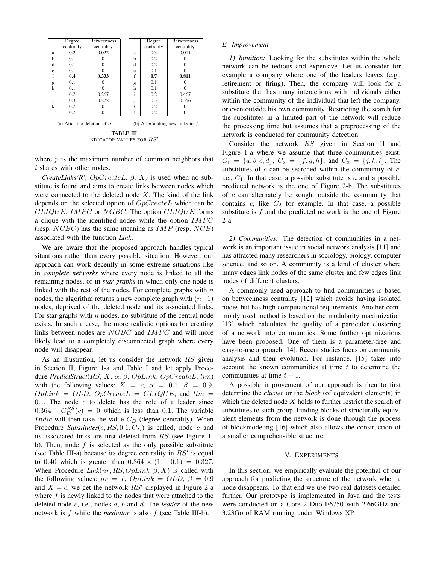

where  $p$  is the maximum number of common neighbors that i shares with other nodes.

*CreateLinks(R', OpCreateL,*  $\beta$ *, X)* is used when no substitute is found and aims to create links between nodes which were connected to the deleted node  $X$ . The kind of the link depends on the selected option of  $OpCreateL$  which can be  $CLIQUE$ ,  $IMPC$  or  $NGBC$ . The option  $CLIQUE$  forms a clique with the identified nodes while the option  $IMPC$ (resp.  $NGBC$ ) has the same meaning as  $IMP$  (resp.  $NGB$ ) associated with the function *Link*.

We are aware that the proposed approach handles typical situations rather than every possible situation. However, our approach can work decently in some extreme situations like in *complete networks* where every node is linked to all the remaining nodes, or in *star graphs* in which only one node is linked with the rest of the nodes. For complete graphs with  $n$ nodes, the algorithm returns a new complete graph with  $(n-1)$ nodes, deprived of the deleted node and its associated links. For star graphs with  $n$  nodes, no substitute of the central node exists. In such a case, the more realistic options for creating links between nodes are  $NGBC$  and  $IMPC$  and will more likely lead to a completely disconnected graph where every node will disappear.

As an illustration, let us consider the network  $RS$  given in Section II, Figure 1-a and Table I and let apply Procedure *PredictStruct*(RS, X, α, β, OpLink, OpCreateL, lim) with the following values:  $X = c$ ,  $\alpha = 0.1$ ,  $\beta = 0.9$ ,  $OpLink = OLD$ ,  $OpCreateL = CLIQUE$ , and  $lim =$ 0.1. The node  $c$  to delete has the role of a leader since  $0.364 - C_D^{RS}(c) = 0$  which is less than 0.1. The variable *Indic* will then take the value  $C_D$  (degree centrality). When Procedure *Substitutes* $(c, RS, 0.1, C_D)$  is called, node c and its associated links are first deleted from RS (see Figure 1 b). Then, node  $f$  is selected as the only possible substitute (see Table III-a) because its degree centrality in  $RS'$  is equal to 0.40 which is greater than  $0.364 \times (1 - 0.1) = 0.327$ . When Procedure  $Link(nr, RS, Oplink, \beta, X)$  is called with the following values:  $nr = f$ ,  $OpLink = OLD$ ,  $\beta = 0.9$ and  $X = c$ , we get the network RS' displayed in Figure 2-a where f is newly linked to the nodes that were attached to the deleted node c, i.e., nodes a, b and d. The *leader* of the new network is f while the *mediator* is also f (see Table III-b).

#### *E. Improvement*

*1) Intuition:* Looking for the substitutes within the whole network can be tedious and expensive. Let us consider for example a company where one of the leaders leaves (e.g., retirement or firing). Then, the company will look for a substitute that has many interactions with individuals either within the community of the individual that left the company, or even outside his own community. Restricting the search for the substitutes in a limited part of the network will reduce the processing time but assumes that a preprocessing of the network is conducted for community detection.

Consider the network RS given in Section II and Figure 1-a where we assume that three communities exist:  $C_1 = \{a, b, c, d\}, C_2 = \{f, g, h\}, \text{ and } C_3 = \{j, k, l\}.$  The substitutes of  $c$  can be searched within the community of  $c$ , i.e.,  $C_1$ . In that case, a possible substitute is a and a possible predicted network is the one of Figure 2-b. The substitutes of  $c$  can alternately be sought outside the community that contains  $c$ , like  $C_2$  for example. In that case, a possible substitute is  $f$  and the predicted network is the one of Figure 2-a.

*2) Communities:* The detection of communities in a network is an important issue in social network analysis [11] and has attracted many researchers in sociology, biology, computer science, and so on. A community is a kind of cluster where many edges link nodes of the same cluster and few edges link nodes of different clusters.

A commonly used approach to find communities is based on betweenness centrality [12] which avoids having isolated nodes but has high computational requirements. Another commonly used method is based on the modularity maximization [13] which calculates the quality of a particular clustering of a network into communities. Some further optimizations have been proposed. One of them is a parameter-free and easy-to-use approach [14]. Recent studies focus on community analysis and their evolution. For instance, [15] takes into account the known communities at time  $t$  to determine the communities at time  $t + 1$ .

A possible improvement of our approach is then to first determine the *cluster* or the *block* (of equivalent elements) in which the deleted node  $X$  holds to further restrict the search of substitutes to such group. Finding blocks of structurally equivalent elements from the network is done through the process of blockmodeling [16] which also allows the construction of a smaller comprehensible structure.

# V. EXPERIMENTS

In this section, we empirically evaluate the potential of our approach for predicting the structure of the network when a node disappears. To that end we use two real datasets detailed further. Our prototype is implemented in Java and the tests were conducted on a Core 2 Duo E6750 with 2.66GHz and 3.23Go of RAM running under Windows XP.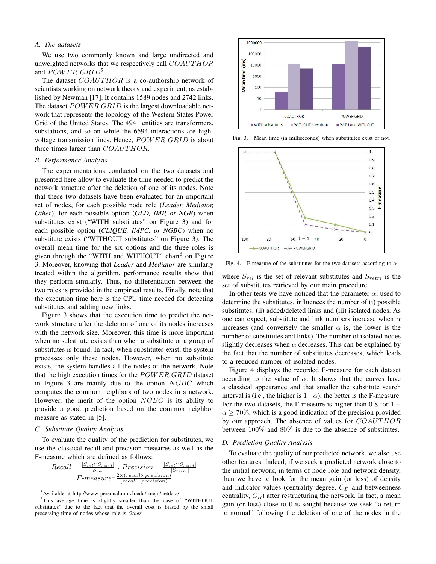# *A. The datasets*

We use two commonly known and large undirected and unweighted networks that we respectively call COAUTHOR and POWER GRID<sup>5</sup>

The dataset *COAUTHOR* is a co-authorship network of scientists working on network theory and experiment, as established by Newman [17]. It contains 1589 nodes and 2742 links. The dataset  $POWER \, GRID$  is the largest downloadable network that represents the topology of the Western States Power Grid of the United States. The 4941 entities are transformers, substations, and so on while the 6594 interactions are highvoltage transmission lines. Hence,  $POWER$  GRID is about three times larger than COAUTHOR.

#### *B. Performance Analysis*

The experimentations conducted on the two datasets and presented here allow to evaluate the time needed to predict the network structure after the deletion of one of its nodes. Note that these two datasets have been evaluated for an important set of nodes, for each possible node role (*Leader, Mediator, Other*), for each possible option (*OLD, IMP, or NGB*) when substitutes exist ("WITH substitutes" on Figure 3) and for each possible option (*CLIQUE, IMPC, or NGBC*) when no substitute exists ("WITHOUT substitutes" on Figure 3). The overall mean time for the six options and the three roles is given through the "WITH and WITHOUT" chart<sup>6</sup> on Figure 3. Moreover, knowing that *Leader* and *Mediator* are similarly treated within the algorithm, performance results show that they perform similarly. Thus, no differentiation between the two roles is provided in the empirical results. Finally, note that the execution time here is the CPU time needed for detecting substitutes and adding new links.

Figure 3 shows that the execution time to predict the network structure after the deletion of one of its nodes increases with the network size. Moreover, this time is more important when no substitute exists than when a substitute or a group of substitutes is found. In fact, when substitutes exist, the system processes only these nodes. However, when no substitute exists, the system handles all the nodes of the network. Note that the high execution times for the  $POWER$  GRID dataset in Figure 3 are mainly due to the option NGBC which computes the common neighbors of two nodes in a network. However, the merit of the option NGBC is its ability to provide a good prediction based on the common neighbor measure as stated in [5].

#### *C. Substitute Quality Analysis*

To evaluate the quality of the prediction for substitutes, we use the classical recall and precision measures as well as the F-measure which are defined as follows:

Recall = 
$$
\frac{|S_{rel} \cap S_{retri}|}{|S_{rel}|}
$$
, Precision =  $\frac{|S_{rel} \cap S_{retri}|}{|S_{retri}|}$   
F-measure =  $\frac{2 \times (recall \times precision)}{(recall + precision)}$ 

<sup>5</sup>Available at http://www-personal.umich.edu/ mejn/netdata/

<sup>6</sup>This average time is slightly smaller than the case of "WITHOUT substitutes" due to the fact that the overall cost is biased by the small processing time of nodes whose role is *Other*.



Fig. 3. Mean time (in milliseconds) when substitutes exist or not.



Fig. 4. F-measure of the substitutes for the two datasets according to  $\alpha$ 

where  $S_{rel}$  is the set of relevant substitutes and  $S_{retri}$  is the set of substitutes retrieved by our main procedure.

In other tests we have noticed that the parameter  $\alpha$ , used to determine the substitutes, influences the number of (i) possible substitutes, (ii) added/deleted links and (iii) isolated nodes. As one can expect, substitute and link numbers increase when  $\alpha$ increases (and conversely the smaller  $\alpha$  is, the lower is the number of substitutes and links). The number of isolated nodes slightly decreases when  $\alpha$  decreases. This can be explained by the fact that the number of substitutes decreases, which leads to a reduced number of isolated nodes.

Figure 4 displays the recorded F-measure for each dataset according to the value of  $\alpha$ . It shows that the curves have a classical appearance and that smaller the substitute search interval is (i.e., the higher is  $1-\alpha$ ), the better is the F-measure. For the two datasets, the F-measure is higher than  $0.8$  for  $1 \alpha \geq 70\%$ , which is a good indication of the precision provided by our approach. The absence of values for COAUTHOR between 100% and 80% is due to the absence of substitutes.

# *D. Prediction Quality Analysis*

To evaluate the quality of our predicted network, we also use other features. Indeed, if we seek a predicted network close to the initial network, in terms of node role and network density, then we have to look for the mean gain (or loss) of density and indicator values (centrality degree,  $C_D$  and betweenness centrality,  $C_B$ ) after restructuring the network. In fact, a mean gain (or loss) close to 0 is sought because we seek "a return to normal" following the deletion of one of the nodes in the